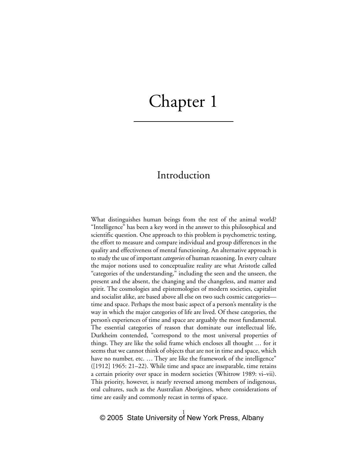# Chapter 1

## Introduction

What distinguishes human beings from the rest of the animal world? "Intelligence" has been a key word in the answer to this philosophical and scientific question. One approach to this problem is psychometric testing, the effort to measure and compare individual and group differences in the quality and effectiveness of mental functioning. An alternative approach is to study the use of important *categories* of human reasoning. In every culture the major notions used to conceptualize reality are what Aristotle called "categories of the understanding," including the seen and the unseen, the present and the absent, the changing and the changeless, and matter and spirit. The cosmologies and epistemologies of modern societies, capitalist and socialist alike, are based above all else on two such cosmic categories time and space. Perhaps the most basic aspect of a person's mentality is the way in which the major categories of life are lived. Of these categories, the person's experiences of time and space are arguably the most fundamental. The essential categories of reason that dominate our intellectual life, Durkheim contended, "correspond to the most universal properties of things. They are like the solid frame which encloses all thought … for it seems that we cannot think of objects that are not in time and space, which have no number, etc. ... They are like the framework of the intelligence" ([1912] 1965: 21–22). While time and space are inseparable, time retains a certain priority over space in modern societies (Whitrow 1989: vi–vii). This priority, however, is nearly reversed among members of indigenous, oral cultures, such as the Australian Aborigines, where considerations of time are easily and commonly recast in terms of space.

#### 1 © 2005 State University of New York Press, Albany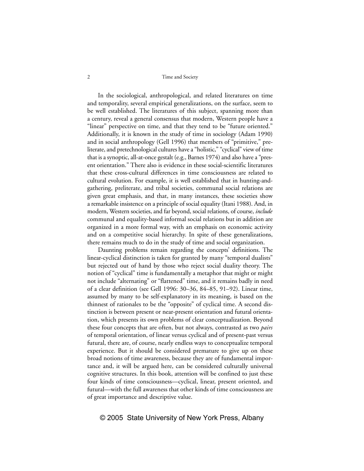#### 2 Time and Society

In the sociological, anthropological, and related literatures on time and temporality, several empirical generalizations, on the surface, seem to be well established. The literatures of this subject, spanning more than a century, reveal a general consensus that modern, Western people have a "linear" perspective on time, and that they tend to be "future oriented." Additionally, it is known in the study of time in sociology (Adam 1990) and in social anthropology (Gell 1996) that members of "primitive," preliterate, and pretechnological cultures have a "holistic," "cyclical" view of time that is a synoptic, all-at-once gestalt (e.g., Barnes 1974) and also have a "present orientation." There also is evidence in these social-scientific literatures that these cross-cultural differences in time consciousness are related to cultural evolution. For example, it is well established that in hunting-andgathering, preliterate, and tribal societies, communal social relations are given great emphasis, and that, in many instances, these societies show a remarkable insistence on a principle of social equality (Itani 1988). And, in modern, Western societies, and far beyond, social relations, of course, *include* communal and equality-based informal social relations but in addition are organized in a more formal way, with an emphasis on economic activity and on a competitive social hierarchy. In spite of these generalizations, there remains much to do in the study of time and social organization.

Daunting problems remain regarding the concepts' definitions. The linear-cyclical distinction is taken for granted by many "temporal dualists" but rejected out of hand by those who reject social duality theory. The notion of "cyclical" time is fundamentally a metaphor that might or might not include "alternating" or "flattened" time, and it remains badly in need of a clear definition (see Gell 1996: 30–36, 84–85, 91–92). Linear time, assumed by many to be self-explanatory in its meaning, is based on the thinnest of rationales to be the "opposite" of cyclical time. A second distinction is between present or near-present orientation and futural orientation, which presents its own problems of clear conceptualization. Beyond these four concepts that are often, but not always, contrasted as two *pairs* of temporal orientation, of linear versus cyclical and of present-past versus futural, there are, of course, nearly endless ways to conceptualize temporal experience. But it should be considered premature to give up on these broad notions of time awareness, because they are of fundamental importance and, it will be argued here, can be considered culturally universal cognitive structures. In this book, attention will be confined to just these four kinds of time consciousness—cyclical, linear, present oriented, and futural—with the full awareness that other kinds of time consciousness are of great importance and descriptive value.

#### © 2005 State University of New York Press, Albany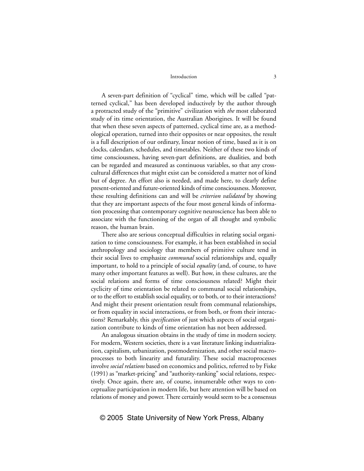A seven-part definition of "cyclical" time, which will be called "patterned cyclical," has been developed inductively by the author through a protracted study of the "primitive" civilization with *the* most elaborated study of its time orientation, the Australian Aborigines. It will be found that when these seven aspects of patterned, cyclical time are, as a methodological operation, turned into their opposites or near opposites, the result is a full description of our ordinary, linear notion of time, based as it is on clocks, calendars, schedules, and timetables. Neither of these two kinds of time consciousness, having seven-part definitions, are dualities, and both can be regarded and measured as continuous variables, so that any crosscultural differences that might exist can be considered a matter not of kind but of degree. An effort also is needed, and made here, to clearly define present-oriented and future-oriented kinds of time consciousness. Moreover, these resulting definitions can and will be *criterion validated* by showing that they are important aspects of the four most general kinds of information processing that contemporary cognitive neuroscience has been able to associate with the functioning of the organ of all thought and symbolic reason, the human brain.

There also are serious conceptual difficulties in relating social organization to time consciousness. For example, it has been established in social anthropology and sociology that members of primitive culture tend in their social lives to emphasize *communal* social relationships and, equally important, to hold to a principle of social *equality* (and, of course, to have many other important features as well). But how, in these cultures, are the social relations and forms of time consciousness related? Might their cyclicity of time orientation be related to communal social relationships, or to the effort to establish social equality, or to both, or to their interactions? And might their present orientation result from communal relationships, or from equality in social interactions, or from both, or from their interactions? Remarkably, this *specification* of just which aspects of social organization contribute to kinds of time orientation has not been addressed.

An analogous situation obtains in the study of time in modern society. For modern, Western societies, there is a vast literature linking industrialization, capitalism, urbanization, postmodernization, and other social macroprocesses to both linearity and futurality. These social macroprocesses involve *social relations* based on economics and politics, referred to by Fiske (1991) as "market-pricing" and "authority-ranking" social relations, respectively. Once again, there are, of course, innumerable other ways to conceptualize participation in modern life, but here attention will be based on relations of money and power. There certainly would seem to be a consensus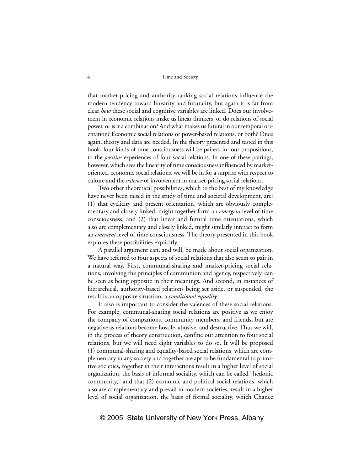that market-pricing and authority-ranking social relations influence the modern tendency toward linearity and futurality, but again it is far from clear *how* these social and cognitive variables are linked. Does our involvement in economic relations make us linear thinkers, or do relations of social power, or is it a combination? And what makes us futural in our temporal orientation? Economic social relations or power-based relations, or both? Once again, theory and data are needed. In the theory presented and tested in this book, four kinds of time consciousness will be paired, in four propositions, to the *positive* experiences of four social relations. In one of these pairings, however, which sees the linearity of time consciousness influenced by marketoriented, economic social relations, we will be in for a surprise with respect to culture and the *valence* of involvement in market-pricing social relations.

Two other theoretical possibilities, which to the best of my knowledge have never been raised in the study of time and societal development, are: (1) that cyclicity and present orientation, which are obviously complementary and closely linked, might together form an *emergent* level of time consciousness, and (2) that linear and futural time orientations, which also are complementary and closely linked, might similarly interact to form an *emergent* level of time consciousness. The theory presented in this book explores these possibilities explicitly.

A parallel argument can, and will, be made about social organization. We have referred to four aspects of social relations that also seem to pair in a natural way. First, communal-sharing and market-pricing social relations, involving the principles of communion and agency, respectively, can be seen as being opposite in their meanings. And second, in instances of hierarchical, authority-based relations being set aside, or suspended, the result is an opposite situation, a *conditional equality*.

It also is important to consider the valences of these social relations. For example, communal-sharing social relations are positive as we enjoy the company of companions, community members, and friends, but are negative as relations become hostile, abusive, and destructive. Thus we will, in the process of theory construction, confine our attention to four social relations, but we will need eight variables to do so. It will be proposed (1) communal-sharing and equality-based social relations, which are complementary in any society and together are apt to be fundamental to primitive societies, together in their interactions result in a higher level of social organization, the basis of informal sociality, which can be called "hedonic community," and that (2) economic and political social relations, which also are complementary and prevail in modern societies, result in a higher level of social organization, the basis of formal sociality, which Chance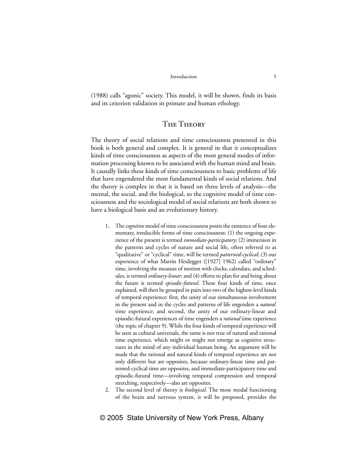(1988) calls "agonic" society. This model, it will be shown, finds its basis and its criterion validation in primate and human ethology.

### The Theory

The theory of social relations and time consciousness presented in this book is both general and complex. It is general in that it conceptualizes kinds of time consciousness as aspects of the most general modes of information processing known to be associated with the human mind and brain. It causally links these kinds of time consciousness to basic problems of life that have engendered the most fundamental kinds of social relations. And the theory is complex in that it is based on three levels of analysis—the mental, the social, and the biological, so the cognitive model of time consciousness and the sociological model of social relations are both shown to have a biological basis and an evolutionary history.

- 1. The *cognitive* model of time consciousness posits the existence of four elementary, irreducible forms of time consciousness: (1) the ongoing experience of the present is termed *immediate-participatory*; (2) immersion in the patterns and cycles of nature and social life, often referred to as "qualitative" or "cyclical" time, will be termed *patterned-cyclical*; (3) our experience of what Martin Heidegger ([1927] 1962) called "ordinary" time, involving the measure of motion with clocks, calendars, and schedules, is termed *ordinary-linear*; and (4) efforts to plan for and bring about the future is termed *episodic-futural*. These four kinds of time, once explained, will then be grouped in pairs into two of the highest-level kinds of temporal experience: first, the unity of our simultaneous involvement in the present and in the cycles and patterns of life engenders a *natural* time experience; and second, the unity of our ordinary-linear and episodic-futural experiences of time engenders a *rational* time experience (the topic of chapter 9). While the four kinds of temporal experience will be seen as cultural universals, the same is not true of natural and rational time experience, which might or might not emerge as cognitive structures in the mind of any individual human being. An argument will be made that the rational and natural kinds of temporal experience are not only different but are opposites, because ordinary-linear time and patterned-cyclical time are opposites, and immediate-participatory time and episodic-futural time—involving temporal compression and temporal stretching, respectively—also are opposites.
- 2. The second level of theory is *biological*. The most modal functioning of the brain and nervous system, it will be proposed, provides the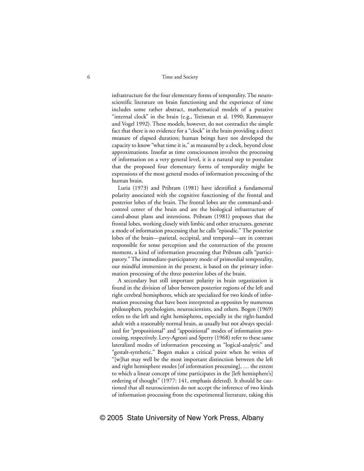#### 6 Time and Society

infrastructure for the four elementary forms of temporality. The neuroscientific literature on brain functioning and the experience of time includes some rather abstract, mathematical models of a putative "internal clock" in the brain (e.g., Treisman et al. 1990; Rammsayer and Vogel 1992). These models, however, do not contradict the simple fact that there is no evidence for a "clock" in the brain providing a direct measure of elapsed duration; human beings have not developed the capacity to know "what time it is," as measured by a clock, beyond close approximations. Insofar as time consciousness involves the processing of information on a very general level, it is a natural step to postulate that the proposed four elementary forms of temporality might be expressions of the most general modes of information processing of the human brain.

Luria (1973) and Pribram (1981) have identified a fundamental polarity associated with the cognitive functioning of the frontal and posterior lobes of the brain. The frontal lobes are the command-andcontrol center of the brain and are the biological infrastructure of cared-about plans and intentions. Pribram (1981) proposes that the frontal lobes, working closely with limbic and other structures, generate a mode of information processing that he calls "episodic." The posterior lobes of the brain—parietal, occipital, and temporal—are in contrast responsible for sense perception and the construction of the present moment, a kind of information processing that Pribram calls "participatory." The immediate-participatory mode of primordial temporality, our mindful immersion in the present, is based on the primary information processing of the three posterior lobes of the brain.

A secondary but still important polarity in brain organization is found in the division of labor between posterior regions of the left and right cerebral hemispheres, which are specialized for two kinds of information processing that have been interpreted as opposites by numerous philosophers, psychologists, neuroscientists, and others. Bogen (1969) refers to the left and right hemispheres, especially in the right-handed adult with a reasonably normal brain, as usually but not always specialized for "propositional" and "appositional" modes of information processing, respectively. Levy-Agresti and Sperry (1968) refer to these same lateralized modes of information processing as "logical-analytic" and "gestalt-synthetic." Bogen makes a critical point when he writes of "[w]hat may well be the most important distinction between the left and right hemisphere modes [of information processing], … the extent to which a linear concept of time participates in the [left hemisphere's] ordering of thought" (1977: 141, emphasis deleted). It should be cautioned that all neuroscientists do not accept the inference of two kinds of information processing from the experimental literature, taking this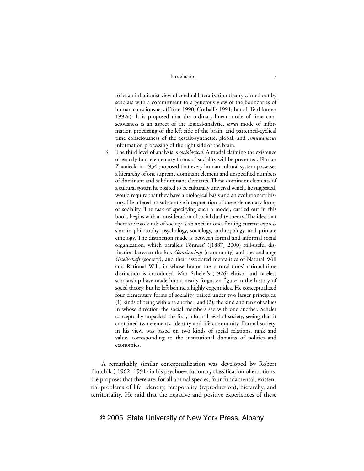to be an inflationist view of cerebral lateralization theory carried out by scholars with a commitment to a generous view of the boundaries of human consciousness (Efron 1990; Corballis 1991; but cf. TenHouten 1992a). It is proposed that the ordinary-linear mode of time consciousness is an aspect of the logical-analytic, *serial* mode of information processing of the left side of the brain, and patterned-cyclical time consciousness of the gestalt-synthetic, global, and *simultaneous* information processing of the right side of the brain.

3. The third level of analysis is *sociological*. A model claiming the existence of exactly four elementary forms of sociality will be presented. Florian Znaniecki in 1934 proposed that every human cultural system possesses a hierarchy of one supreme dominant element and unspecified numbers of dominant and subdominant elements. These dominant elements of a cultural system he posited to be culturally universal which, he suggested, would require that they have a biological basis and an evolutionary history. He offered no substantive interpretation of these elementary forms of sociality. The task of specifying such a model, carried out in this book, begins with a consideration of social duality theory. The idea that there are two kinds of society is an ancient one, finding current expression in philosophy, psychology, sociology, anthropology, and primate ethology. The distinction made is between formal and informal social organization, which parallels Tönnies' ([1887] 2000) still-useful distinction between the folk *Gemeinschaft* (community) and the exchange *Gesellschaft* (society), and their associated mentalities of Natural Will and Rational Will, in whose honor the natural-time/ rational-time distinction is introduced. Max Scheler's (1926) elitism and careless scholarship have made him a nearly forgotten figure in the history of social theory, but he left behind a highly cogent idea. He conceptualized four elementary forms of sociality, paired under two larger principles: (1) kinds of being with one another; and (2), the kind and rank of values in whose direction the social members see with one another. Scheler conceptually unpacked the first, informal level of society, seeing that it contained two elements, identity and life community. Formal society, in his view, was based on two kinds of social relations, rank and value, corresponding to the institutional domains of politics and economics.

A remarkably similar conceptualization was developed by Robert Plutchik ([1962] 1991) in his psychoevolutionary classification of emotions. He proposes that there are, for all animal species, four fundamental, existential problems of life: identity, temporality (reproduction), hierarchy, and territoriality. He said that the negative and positive experiences of these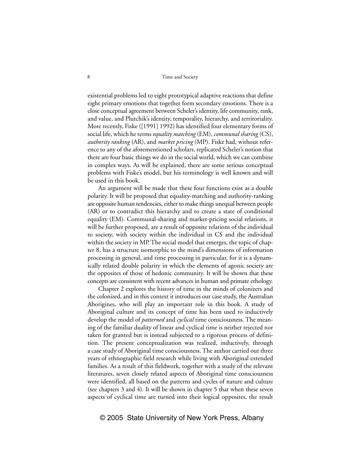existential problems led to eight prototypical adaptive reactions that define eight primary emotions that together form secondary emotions. There is a close conceptual agreement between Scheler's identity, life community, rank, and value, and Plutchik's identity, temporality, hierarchy, and territoriality. More recently, Fiske ([1991] 1992) has identified four elementary forms of social life, which he terms *equality matching* (EM), *communal sharing* (CS), *authority ranking* (AR), and *market pricing* (MP). Fiske had, without reference to any of the aforementioned scholars, replicated Scheler's notion that there are four basic things we do in the social world, which we can combine in complex ways. As will be explained, there are some serious conceptual problems with Fiske's model, but his terminology is well known and will be used in this book.

An argument will be made that these four functions exist as a double polarity. It will be proposed that equality-matching and authority-ranking are opposite human tendencies, either to make things unequal between people (AR) or to contradict this hierarchy and to create a state of conditional equality (EM). Communal-sharing and market-pricing social relations, it will be further proposed, are a result of opposite relations of the individual to society, with society within the individual in CS and the individual within the society in MP. The social model that emerges, the topic of chapter 8, has a structure isomorphic to the mind's dimensions of information processing in general, and time processing in particular, for it is a dynamically related double polarity in which the elements of agonic society are the opposites of those of hedonic community. It will be shown that these concepts are consistent with recent advances in human and primate ethology.

Chapter 2 explores the history of time in the minds of colonizers and the colonized, and in this context it introduces our case study, the Australian Aborigines, who will play an important role in this book. A study of Aboriginal culture and its concept of time has been used to inductively develop the model of *patterned* and *cyclical* time consciousness. The meaning of the familiar duality of linear and cyclical time is neither rejected nor taken for granted but is instead subjected to a rigorous process of definition. The present conceptualization was realized, inductively, through a case study of Aboriginal time consciousness. The author carried out three years of ethnographic field research while living with Aboriginal extended families. As a result of this fieldwork, together with a study of the relevant literatures, seven closely related aspects of Aboriginal time consciousness were identified, all based on the patterns and cycles of nature and culture (see chapters 3 and 4). It will be shown in chapter 5 that when these seven aspects of cyclical time are turned into their logical opposites, the result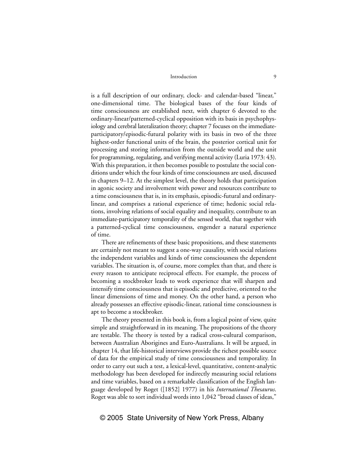is a full description of our ordinary, clock- and calendar-based "linear," one-dimensional time. The biological bases of the four kinds of time consciousness are established next, with chapter 6 devoted to the ordinary-linear/patterned-cyclical opposition with its basis in psychophysiology and cerebral lateralization theory; chapter 7 focuses on the immediateparticipatory/episodic-futural polarity with its basis in two of the three highest-order functional units of the brain, the posterior cortical unit for processing and storing information from the outside world and the unit for programming, regulating, and verifying mental activity (Luria 1973: 43). With this preparation, it then becomes possible to postulate the social conditions under which the four kinds of time consciousness are used, discussed in chapters 9–12. At the simplest level, the theory holds that participation in agonic society and involvement with power and resources contribute to a time consciousness that is, in its emphasis, episodic-futural and ordinarylinear, and comprises a rational experience of time; hedonic social relations, involving relations of social equality and inequality, contribute to an immediate-participatory temporality of the sensed world, that together with a patterned-cyclical time consciousness, engender a natural experience of time.

There are refinements of these basic propositions, and these statements are certainly not meant to suggest a one-way causality, with social relations the independent variables and kinds of time consciousness the dependent variables. The situation is, of course, more complex than that, and there is every reason to anticipate reciprocal effects. For example, the process of becoming a stockbroker leads to work experience that will sharpen and intensify time consciousness that is episodic and predictive, oriented to the linear dimensions of time and money. On the other hand, a person who already possesses an effective episodic-linear, rational time consciousness is apt to become a stockbroker.

The theory presented in this book is, from a logical point of view, quite simple and straightforward in its meaning. The propositions of the theory are testable. The theory is tested by a radical cross-cultural comparison, between Australian Aborigines and Euro-Australians. It will be argued, in chapter 14, that life-historical interviews provide the richest possible source of data for the empirical study of time consciousness and temporality. In order to carry out such a test, a lexical-level, quantitative, content-analytic methodology has been developed for indirectly measuring social relations and time variables, based on a remarkable classification of the English language developed by Roget ([1852] 1977) in his *International Thesaurus*. Roget was able to sort individual words into 1,042 "broad classes of ideas,"